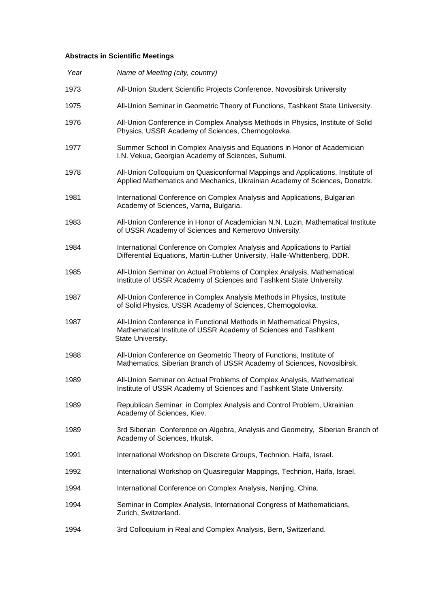## **Abstracts in Scientific Meetings**

| Year | Name of Meeting (city, country)                                                                                                                              |
|------|--------------------------------------------------------------------------------------------------------------------------------------------------------------|
| 1973 | All-Union Student Scientific Projects Conference, Novosibirsk University                                                                                     |
| 1975 | All-Union Seminar in Geometric Theory of Functions, Tashkent State University.                                                                               |
| 1976 | All-Union Conference in Complex Analysis Methods in Physics, Institute of Solid<br>Physics, USSR Academy of Sciences, Chernogolovka.                         |
| 1977 | Summer School in Complex Analysis and Equations in Honor of Academician<br>I.N. Vekua, Georgian Academy of Sciences, Suhumi.                                 |
| 1978 | All-Union Colloquium on Quasiconformal Mappings and Applications, Institute of<br>Applied Mathematics and Mechanics, Ukrainian Academy of Sciences, Donetzk. |
| 1981 | International Conference on Complex Analysis and Applications, Bulgarian<br>Academy of Sciences, Varna, Bulgaria.                                            |
| 1983 | All-Union Conference in Honor of Academician N.N. Luzin, Mathematical Institute<br>of USSR Academy of Sciences and Kemerovo University.                      |
| 1984 | International Conference on Complex Analysis and Applications to Partial<br>Differential Equations, Martin-Luther University, Halle-Whittenberg, DDR.        |
| 1985 | All-Union Seminar on Actual Problems of Complex Analysis, Mathematical<br>Institute of USSR Academy of Sciences and Tashkent State University.               |
| 1987 | All-Union Conference in Complex Analysis Methods in Physics, Institute<br>of Solid Physics, USSR Academy of Sciences, Chernogolovka.                         |
| 1987 | All-Union Conference in Functional Methods in Mathematical Physics,<br>Mathematical Institute of USSR Academy of Sciences and Tashkent<br>State University.  |
| 1988 | All-Union Conference on Geometric Theory of Functions, Institute of<br>Mathematics, Siberian Branch of USSR Academy of Sciences, Novosibirsk.                |
| 1989 | All-Union Seminar on Actual Problems of Complex Analysis, Mathematical<br>Institute of USSR Academy of Sciences and Tashkent State University.               |
| 1989 | Republican Seminar in Complex Analysis and Control Problem, Ukrainian<br>Academy of Sciences, Kiev.                                                          |
| 1989 | 3rd Siberian Conference on Algebra, Analysis and Geometry, Siberian Branch of<br>Academy of Sciences, Irkutsk.                                               |
| 1991 | International Workshop on Discrete Groups, Technion, Haifa, Israel.                                                                                          |
| 1992 | International Workshop on Quasiregular Mappings, Technion, Haifa, Israel.                                                                                    |
| 1994 | International Conference on Complex Analysis, Nanjing, China.                                                                                                |
| 1994 | Seminar in Complex Analysis, International Congress of Mathematicians,<br>Zurich, Switzerland.                                                               |
| 1994 | 3rd Colloquium in Real and Complex Analysis, Bern, Switzerland.                                                                                              |
|      |                                                                                                                                                              |